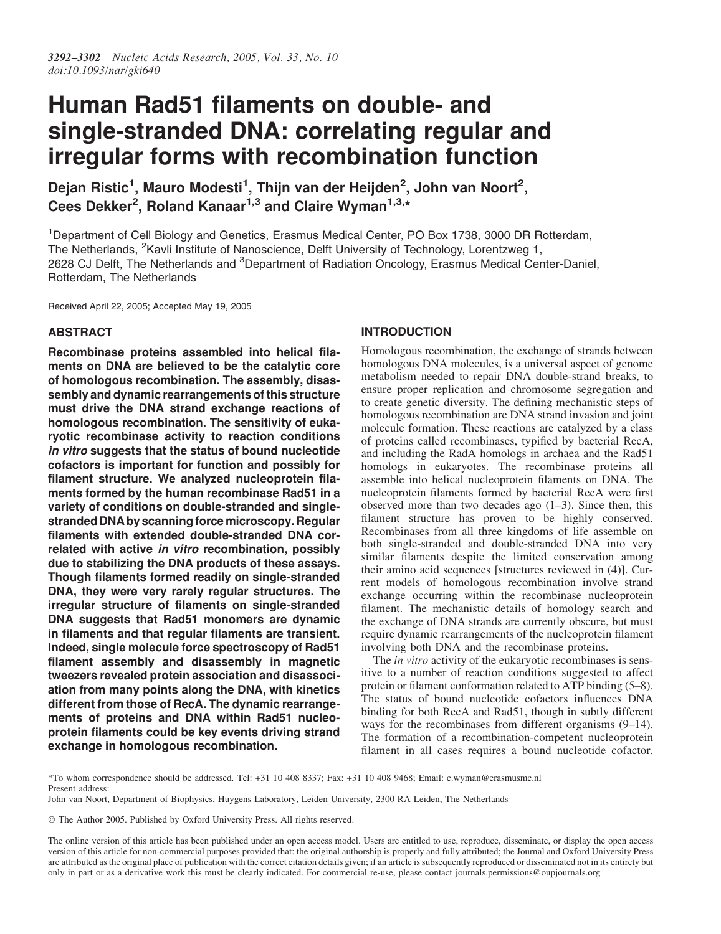# Human Rad51 filaments on double- and single-stranded DNA: correlating regular and irregular forms with recombination function

Dejan Ristic<sup>1</sup>, Mauro Modesti<sup>1</sup>, Thijn van der Heijden<sup>2</sup>, John van Noort<sup>2</sup>, Cees Dekker<sup>2</sup>, Roland Kanaar<sup>1,3</sup> and Claire Wyman<sup>1,3,\*</sup>

<sup>1</sup>Department of Cell Biology and Genetics, Erasmus Medical Center, PO Box 1738, 3000 DR Rotterdam, The Netherlands, <sup>2</sup>Kavli Institute of Nanoscience, Delft University of Technology, Lorentzweg 1, 2628 CJ Delft, The Netherlands and <sup>3</sup>Department of Radiation Oncology, Erasmus Medical Center-Daniel, Rotterdam, The Netherlands

Received April 22, 2005; Accepted May 19, 2005

# ABSTRACT

Recombinase proteins assembled into helical filaments on DNA are believed to be the catalytic core of homologous recombination. The assembly, disassembly and dynamic rearrangements of this structure must drive the DNA strand exchange reactions of homologous recombination. The sensitivity of eukaryotic recombinase activity to reaction conditions in vitro suggests that the status of bound nucleotide cofactors is important for function and possibly for filament structure. We analyzed nucleoprotein filaments formed by the human recombinase Rad51 in a variety of conditions on double-stranded and singlestranded DNA by scanning force microscopy. Regular filaments with extended double-stranded DNA correlated with active in vitro recombination, possibly due to stabilizing the DNA products of these assays. Though filaments formed readily on single-stranded DNA, they were very rarely regular structures. The irregular structure of filaments on single-stranded DNA suggests that Rad51 monomers are dynamic in filaments and that regular filaments are transient. Indeed, single molecule force spectroscopy of Rad51 filament assembly and disassembly in magnetic tweezers revealed protein association and disassociation from many points along the DNA, with kinetics different from those of RecA. The dynamic rearrangements of proteins and DNA within Rad51 nucleoprotein filaments could be key events driving strand exchange in homologous recombination.

# INTRODUCTION

Homologous recombination, the exchange of strands between homologous DNA molecules, is a universal aspect of genome metabolism needed to repair DNA double-strand breaks, to ensure proper replication and chromosome segregation and to create genetic diversity. The defining mechanistic steps of homologous recombination are DNA strand invasion and joint molecule formation. These reactions are catalyzed by a class of proteins called recombinases, typified by bacterial RecA, and including the RadA homologs in archaea and the Rad51 homologs in eukaryotes. The recombinase proteins all assemble into helical nucleoprotein filaments on DNA. The nucleoprotein filaments formed by bacterial RecA were first observed more than two decades ago  $(1-3)$ . Since then, this filament structure has proven to be highly conserved. Recombinases from all three kingdoms of life assemble on both single-stranded and double-stranded DNA into very similar filaments despite the limited conservation among their amino acid sequences [structures reviewed in (4)]. Current models of homologous recombination involve strand exchange occurring within the recombinase nucleoprotein filament. The mechanistic details of homology search and the exchange of DNA strands are currently obscure, but must require dynamic rearrangements of the nucleoprotein filament involving both DNA and the recombinase proteins.

The *in vitro* activity of the eukaryotic recombinases is sensitive to a number of reaction conditions suggested to affect protein or filament conformation related to ATP binding (5–8). The status of bound nucleotide cofactors influences DNA binding for both RecA and Rad51, though in subtly different ways for the recombinases from different organisms (9–14). The formation of a recombination-competent nucleoprotein filament in all cases requires a bound nucleotide cofactor.

<sup>\*</sup>To whom correspondence should be addressed. Tel: +31 10 408 8337; Fax: +31 10 408 9468; Email: c.wyman@erasmusmc.nl Present address:

John van Noort, Department of Biophysics, Huygens Laboratory, Leiden University, 2300 RA Leiden, The Netherlands

The Author 2005. Published by Oxford University Press. All rights reserved.

The online version of this article has been published under an open access model. Users are entitled to use, reproduce, disseminate, or display the open access version of this article for non-commercial purposes provided that: the original authorship is properly and fully attributed; the Journal and Oxford University Press are attributed as the original place of publication with the correct citation details given; if an article is subsequently reproduced or disseminated not in its entirety but only in part or as a derivative work this must be clearly indicated. For commercial re-use, please contact journals.permissions@oupjournals.org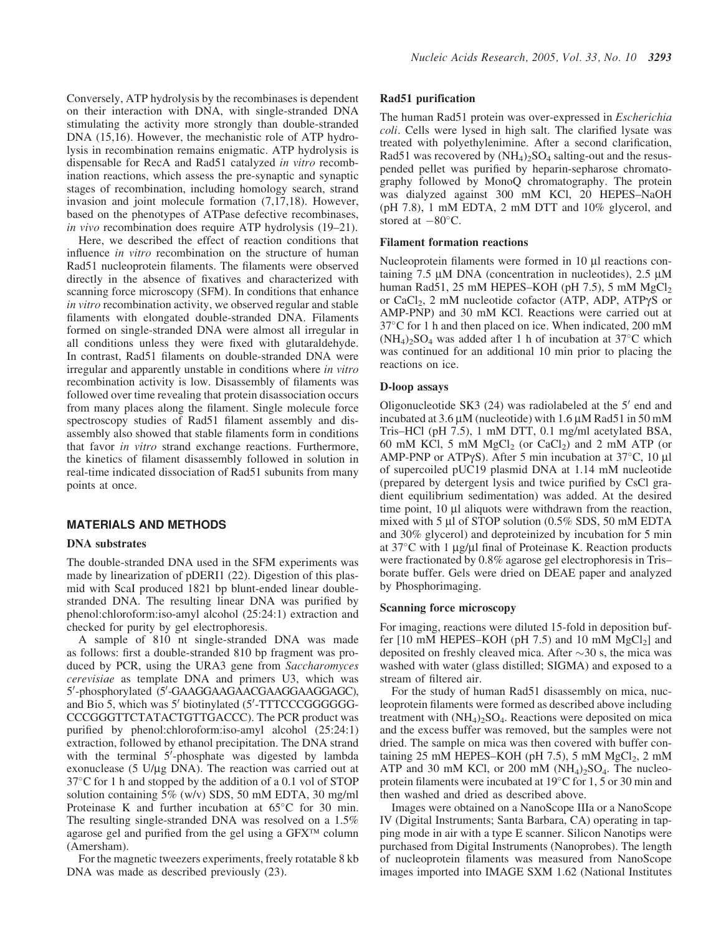Conversely, ATP hydrolysis by the recombinases is dependent on their interaction with DNA, with single-stranded DNA stimulating the activity more strongly than double-stranded DNA (15,16). However, the mechanistic role of ATP hydrolysis in recombination remains enigmatic. ATP hydrolysis is dispensable for RecA and Rad51 catalyzed in vitro recombination reactions, which assess the pre-synaptic and synaptic stages of recombination, including homology search, strand invasion and joint molecule formation (7,17,18). However, based on the phenotypes of ATPase defective recombinases, in vivo recombination does require ATP hydrolysis (19–21).

Here, we described the effect of reaction conditions that influence *in vitro* recombination on the structure of human Rad51 nucleoprotein filaments. The filaments were observed directly in the absence of fixatives and characterized with scanning force microscopy (SFM). In conditions that enhance in vitro recombination activity, we observed regular and stable filaments with elongated double-stranded DNA. Filaments formed on single-stranded DNA were almost all irregular in all conditions unless they were fixed with glutaraldehyde. In contrast, Rad51 filaments on double-stranded DNA were irregular and apparently unstable in conditions where in vitro recombination activity is low. Disassembly of filaments was followed over time revealing that protein disassociation occurs from many places along the filament. Single molecule force spectroscopy studies of Rad51 filament assembly and disassembly also showed that stable filaments form in conditions that favor in vitro strand exchange reactions. Furthermore, the kinetics of filament disassembly followed in solution in real-time indicated dissociation of Rad51 subunits from many points at once.

## MATERIALS AND METHODS

#### DNA substrates

The double-stranded DNA used in the SFM experiments was made by linearization of pDERI1 (22). Digestion of this plasmid with ScaI produced 1821 bp blunt-ended linear doublestranded DNA. The resulting linear DNA was purified by phenol:chloroform:iso-amyl alcohol (25:24:1) extraction and checked for purity by gel electrophoresis.

A sample of 810 nt single-stranded DNA was made as follows: first a double-stranded 810 bp fragment was produced by PCR, using the URA3 gene from Saccharomyces cerevisiae as template DNA and primers U3, which was 5'-phosphorylated (5'-GAAGGAAGAACGAAGGAAGGAGC), and Bio 5, which was 5' biotinylated (5'-TTTCCCGGGGGG-CCCGGGTTCTATACTGTTGACCC). The PCR product was purified by phenol:chloroform:iso-amyl alcohol (25:24:1) extraction, followed by ethanol precipitation. The DNA strand with the terminal  $5'$ -phosphate was digested by lambda exonuclease (5 U/ $\mu$ g DNA). The reaction was carried out at 37°C for 1 h and stopped by the addition of a 0.1 vol of STOP solution containing 5% (w/v) SDS, 50 mM EDTA, 30 mg/ml Proteinase K and further incubation at  $65^{\circ}$ C for 30 min. The resulting single-stranded DNA was resolved on a 1.5% agarose gel and purified from the gel using a  $GFX^{TM}$  column (Amersham).

For the magnetic tweezers experiments, freely rotatable 8 kb DNA was made as described previously (23).

#### Rad51 purification

The human Rad51 protein was over-expressed in Escherichia coli. Cells were lysed in high salt. The clarified lysate was treated with polyethylenimine. After a second clarification, Rad51 was recovered by  $(NH_4)$ <sub>2</sub>SO<sub>4</sub> salting-out and the resuspended pellet was purified by heparin-sepharose chromatography followed by MonoQ chromatography. The protein was dialyzed against 300 mM KCl, 20 HEPES–NaOH (pH 7.8), 1 mM EDTA, 2 mM DTT and 10% glycerol, and stored at  $-80^{\circ}$ C.

# Filament formation reactions

Nucleoprotein filaments were formed in 10 µl reactions containing  $7.5 \mu M$  DNA (concentration in nucleotides),  $2.5 \mu M$ human Rad51, 25 mM HEPES–KOH (pH 7.5), 5 mM  $MgCl<sub>2</sub>$ or CaCl<sub>2</sub>, 2 mM nucleotide cofactor (ATP, ADP, ATP $\gamma$ S or AMP-PNP) and 30 mM KCl. Reactions were carried out at 37°C for 1 h and then placed on ice. When indicated, 200 mM  $(NH_4)_2SO_4$  was added after 1 h of incubation at 37°C which was continued for an additional 10 min prior to placing the reactions on ice.

#### D-loop assays

Oligonucleotide SK3  $(24)$  was radiolabeled at the 5' end and incubated at  $3.6 \mu M$  (nucleotide) with  $1.6 \mu M$  Rad $51$  in  $50 \mu M$ Tris–HCl (pH 7.5), 1 mM DTT, 0.1 mg/ml acetylated BSA, 60 mM KCl, 5 mM  $MgCl<sub>2</sub>$  (or CaCl<sub>2</sub>) and 2 mM ATP (or AMP-PNP or ATP $\gamma$ S). After 5 min incubation at 37°C, 10 µl of supercoiled pUC19 plasmid DNA at 1.14 mM nucleotide (prepared by detergent lysis and twice purified by CsCl gradient equilibrium sedimentation) was added. At the desired time point,  $10 \mu l$  aliquots were withdrawn from the reaction, mixed with 5  $\mu$ l of STOP solution (0.5% SDS, 50 mM EDTA and 30% glycerol) and deproteinized by incubation for 5 min at 37°C with 1 µg/µl final of Proteinase K. Reaction products were fractionated by 0.8% agarose gel electrophoresis in Tris– borate buffer. Gels were dried on DEAE paper and analyzed by Phosphorimaging.

## Scanning force microscopy

For imaging, reactions were diluted 15-fold in deposition buffer [10 mM HEPES–KOH (pH 7.5) and 10 mM  $MgCl<sub>2</sub>$ ] and deposited on freshly cleaved mica. After  $\sim$ 30 s, the mica was washed with water (glass distilled; SIGMA) and exposed to a stream of filtered air.

For the study of human Rad51 disassembly on mica, nucleoprotein filaments were formed as described above including treatment with  $(NH_4)$ <sub>2</sub>SO<sub>4</sub>. Reactions were deposited on mica and the excess buffer was removed, but the samples were not dried. The sample on mica was then covered with buffer containing  $25 \text{ mM HEPES-KOH (pH 7.5), } 5 \text{ mM MgCl}_2$ ,  $2 \text{ mM}$ ATP and 30 mM KCl, or 200 mM  $(NH_4)_2SO_4$ . The nucleoprotein filaments were incubated at 19°C for 1, 5 or 30 min and then washed and dried as described above.

Images were obtained on a NanoScope IIIa or a NanoScope IV (Digital Instruments; Santa Barbara, CA) operating in tapping mode in air with a type E scanner. Silicon Nanotips were purchased from Digital Instruments (Nanoprobes). The length of nucleoprotein filaments was measured from NanoScope images imported into IMAGE SXM 1.62 (National Institutes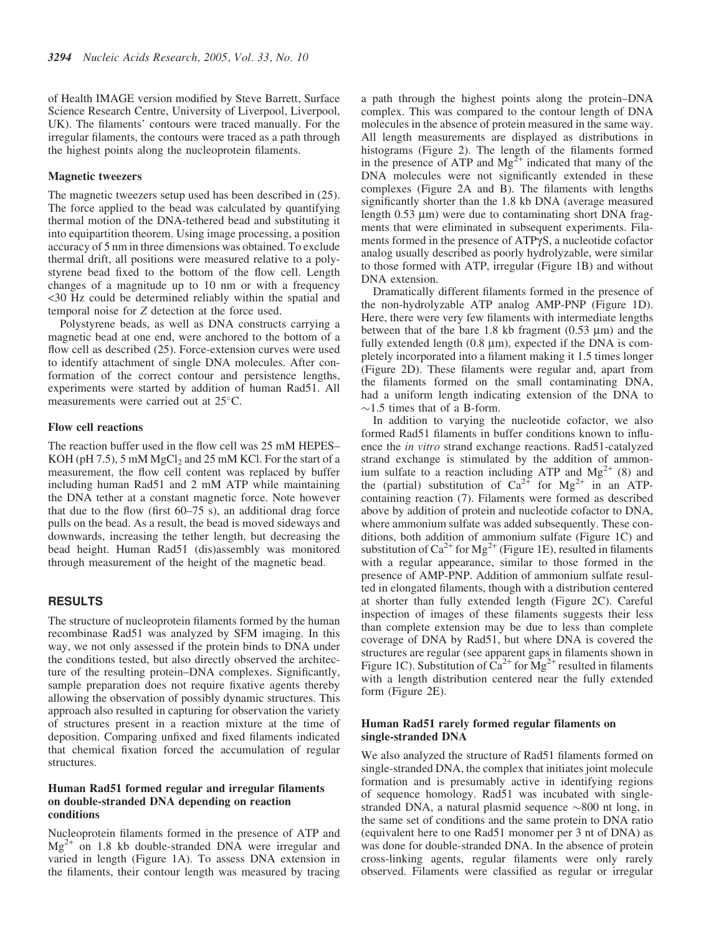of Health IMAGE version modified by Steve Barrett, Surface Science Research Centre, University of Liverpool, Liverpool, UK). The filaments' contours were traced manually. For the irregular filaments, the contours were traced as a path through the highest points along the nucleoprotein filaments.

#### Magnetic tweezers

The magnetic tweezers setup used has been described in (25). The force applied to the bead was calculated by quantifying thermal motion of the DNA-tethered bead and substituting it into equipartition theorem. Using image processing, a position accuracy of 5 nm in three dimensions was obtained. To exclude thermal drift, all positions were measured relative to a polystyrene bead fixed to the bottom of the flow cell. Length changes of a magnitude up to 10 nm or with a frequency <30 Hz could be determined reliably within the spatial and temporal noise for Z detection at the force used.

Polystyrene beads, as well as DNA constructs carrying a magnetic bead at one end, were anchored to the bottom of a flow cell as described (25). Force-extension curves were used to identify attachment of single DNA molecules. After conformation of the correct contour and persistence lengths, experiments were started by addition of human Rad51. All measurements were carried out at 25°C.

#### Flow cell reactions

The reaction buffer used in the flow cell was 25 mM HEPES– KOH (pH  $7.5$ ), 5 mM MgCl<sub>2</sub> and  $25$  mM KCl. For the start of a measurement, the flow cell content was replaced by buffer including human Rad51 and 2 mM ATP while maintaining the DNA tether at a constant magnetic force. Note however that due to the flow (first 60–75 s), an additional drag force pulls on the bead. As a result, the bead is moved sideways and downwards, increasing the tether length, but decreasing the bead height. Human Rad51 (dis)assembly was monitored through measurement of the height of the magnetic bead.

# RESULTS

The structure of nucleoprotein filaments formed by the human recombinase Rad51 was analyzed by SFM imaging. In this way, we not only assessed if the protein binds to DNA under the conditions tested, but also directly observed the architecture of the resulting protein–DNA complexes. Significantly, sample preparation does not require fixative agents thereby allowing the observation of possibly dynamic structures. This approach also resulted in capturing for observation the variety of structures present in a reaction mixture at the time of deposition. Comparing unfixed and fixed filaments indicated that chemical fixation forced the accumulation of regular structures.

## Human Rad51 formed regular and irregular filaments on double-stranded DNA depending on reaction conditions

Nucleoprotein filaments formed in the presence of ATP and  $Mg^{2+}$  on 1.8 kb double-stranded DNA were irregular and varied in length (Figure 1A). To assess DNA extension in the filaments, their contour length was measured by tracing a path through the highest points along the protein–DNA complex. This was compared to the contour length of DNA molecules in the absence of protein measured in the same way. All length measurements are displayed as distributions in histograms (Figure 2). The length of the filaments formed in the presence of ATP and  $Mg^{2+}$  indicated that many of the DNA molecules were not significantly extended in these complexes (Figure 2A and B). The filaments with lengths significantly shorter than the 1.8 kb DNA (average measured length  $0.53 \text{ µm}$ ) were due to contaminating short DNA fragments that were eliminated in subsequent experiments. Filaments formed in the presence of ATPgS, a nucleotide cofactor analog usually described as poorly hydrolyzable, were similar to those formed with ATP, irregular (Figure 1B) and without DNA extension.

Dramatically different filaments formed in the presence of the non-hydrolyzable ATP analog AMP-PNP (Figure 1D). Here, there were very few filaments with intermediate lengths between that of the bare 1.8 kb fragment  $(0.53 \mu m)$  and the fully extended length  $(0.8 \mu m)$ , expected if the DNA is completely incorporated into a filament making it 1.5 times longer (Figure 2D). These filaments were regular and, apart from the filaments formed on the small contaminating DNA, had a uniform length indicating extension of the DNA to  $\sim$ 1.5 times that of a B-form.

In addition to varying the nucleotide cofactor, we also formed Rad51 filaments in buffer conditions known to influence the in vitro strand exchange reactions. Rad51-catalyzed strand exchange is stimulated by the addition of ammonium sulfate to a reaction including ATP and  $Mg^{2+}$  (8) and the (partial) substitution of  $Ca^{2+}$  for  $Mg^{2+}$  in an ATPcontaining reaction (7). Filaments were formed as described above by addition of protein and nucleotide cofactor to DNA, where ammonium sulfate was added subsequently. These conditions, both addition of ammonium sulfate (Figure 1C) and substitution of  $Ca^{2+}$  for Mg<sup>2+</sup> (Figure 1E), resulted in filaments with a regular appearance, similar to those formed in the presence of AMP-PNP. Addition of ammonium sulfate resulted in elongated filaments, though with a distribution centered at shorter than fully extended length (Figure 2C). Careful inspection of images of these filaments suggests their less than complete extension may be due to less than complete coverage of DNA by Rad51, but where DNA is covered the structures are regular (see apparent gaps in filaments shown in Figure 1C). Substitution of  $Ca^{2+}$  for  $Mg^{2+}$  resulted in filaments with a length distribution centered near the fully extended form (Figure 2E).

# Human Rad51 rarely formed regular filaments on single-stranded DNA

We also analyzed the structure of Rad51 filaments formed on single-stranded DNA, the complex that initiates joint molecule formation and is presumably active in identifying regions of sequence homology. Rad51 was incubated with singlestranded DNA, a natural plasmid sequence  $\sim 800$  nt long, in the same set of conditions and the same protein to DNA ratio (equivalent here to one Rad51 monomer per 3 nt of DNA) as was done for double-stranded DNA. In the absence of protein cross-linking agents, regular filaments were only rarely observed. Filaments were classified as regular or irregular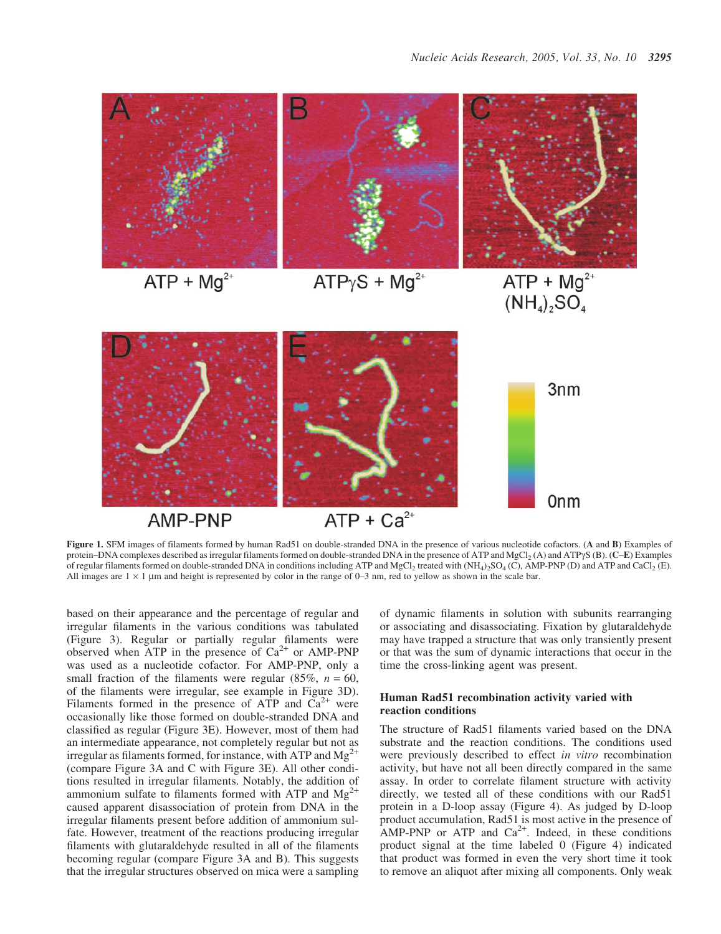

Figure 1. SFM images of filaments formed by human Rad51 on double-stranded DNA in the presence of various nucleotide cofactors. (A and B) Examples of protein–DNA complexes described as irregular filaments formed on double-stranded DNA in the presence of ATP and MgCl2 (A) and ATPgS (B). (C–E) Examples of regular filaments formed on double-stranded DNA in conditions including ATP and MgCl<sub>2</sub> treated with (NH<sub>4</sub>)<sub>2</sub>SO<sub>4</sub> (C), AMP-PNP (D) and ATP and CaCl<sub>2</sub> (E). All images are  $1 \times 1$  µm and height is represented by color in the range of 0–3 nm, red to yellow as shown in the scale bar.

based on their appearance and the percentage of regular and irregular filaments in the various conditions was tabulated (Figure 3). Regular or partially regular filaments were observed when ATP in the presence of  $Ca^{2+}$  or AMP-PNP was used as a nucleotide cofactor. For AMP-PNP, only a small fraction of the filaments were regular  $(85\%, n = 60,$ of the filaments were irregular, see example in Figure 3D). Filaments formed in the presence of ATP and  $Ca^{2+}$  were occasionally like those formed on double-stranded DNA and classified as regular (Figure 3E). However, most of them had an intermediate appearance, not completely regular but not as irregular as filaments formed, for instance, with ATP and  $Mg^{2+}$ (compare Figure 3A and C with Figure 3E). All other conditions resulted in irregular filaments. Notably, the addition of ammonium sulfate to filaments formed with ATP and  $Mg^{2+}$ caused apparent disassociation of protein from DNA in the irregular filaments present before addition of ammonium sulfate. However, treatment of the reactions producing irregular filaments with glutaraldehyde resulted in all of the filaments becoming regular (compare Figure 3A and B). This suggests that the irregular structures observed on mica were a sampling

of dynamic filaments in solution with subunits rearranging or associating and disassociating. Fixation by glutaraldehyde may have trapped a structure that was only transiently present or that was the sum of dynamic interactions that occur in the time the cross-linking agent was present.

# Human Rad51 recombination activity varied with reaction conditions

The structure of Rad51 filaments varied based on the DNA substrate and the reaction conditions. The conditions used were previously described to effect in vitro recombination activity, but have not all been directly compared in the same assay. In order to correlate filament structure with activity directly, we tested all of these conditions with our Rad51 protein in a D-loop assay (Figure 4). As judged by D-loop product accumulation, Rad51 is most active in the presence of AMP-PNP or ATP and  $Ca^{2+}$ . Indeed, in these conditions product signal at the time labeled 0 (Figure 4) indicated that product was formed in even the very short time it took to remove an aliquot after mixing all components. Only weak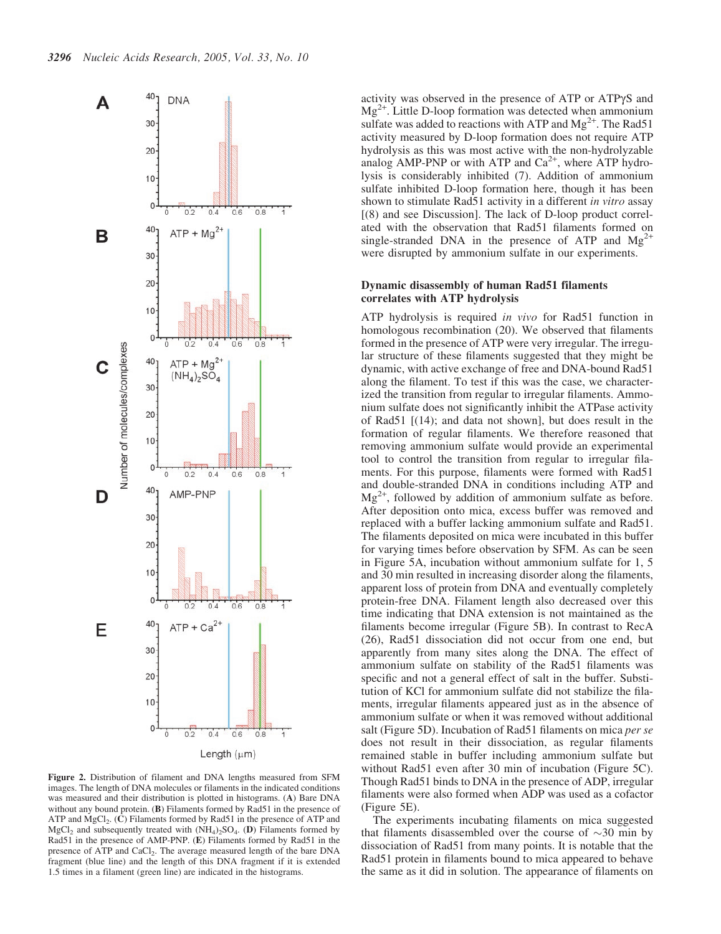

Figure 2. Distribution of filament and DNA lengths measured from SFM images. The length of DNA molecules or filaments in the indicated conditions was measured and their distribution is plotted in histograms. (A) Bare DNA without any bound protein. (B) Filaments formed by Rad51 in the presence of ATP and  $MgCl<sub>2</sub>$ . (C) Filaments formed by Rad51 in the presence of ATP and MgCl<sub>2</sub> and subsequently treated with  $(NH_4)$ <sub>2</sub>SO<sub>4</sub>. (D) Filaments formed by Rad51 in the presence of AMP-PNP. (E) Filaments formed by Rad51 in the presence of ATP and CaCl<sub>2</sub>. The average measured length of the bare DNA fragment (blue line) and the length of this DNA fragment if it is extended 1.5 times in a filament (green line) are indicated in the histograms.

activity was observed in the presence of ATP or ATPgS and  $Mg^{2+}$ . Little D-loop formation was detected when ammonium sulfate was added to reactions with ATP and  $Mg^{2+}$ . The Rad51 activity measured by D-loop formation does not require ATP hydrolysis as this was most active with the non-hydrolyzable analog AMP-PNP or with ATP and  $Ca^{2+}$ , where ATP hydrolysis is considerably inhibited (7). Addition of ammonium sulfate inhibited D-loop formation here, though it has been shown to stimulate Rad51 activity in a different *in vitro* assay [(8) and see Discussion]. The lack of D-loop product correlated with the observation that Rad51 filaments formed on single-stranded DNA in the presence of ATP and  $Mg^{2+}$ were disrupted by ammonium sulfate in our experiments.

## Dynamic disassembly of human Rad51 filaments correlates with ATP hydrolysis

ATP hydrolysis is required in vivo for Rad51 function in homologous recombination (20). We observed that filaments formed in the presence of ATP were very irregular. The irregular structure of these filaments suggested that they might be dynamic, with active exchange of free and DNA-bound Rad51 along the filament. To test if this was the case, we characterized the transition from regular to irregular filaments. Ammonium sulfate does not significantly inhibit the ATPase activity of Rad51 [(14); and data not shown], but does result in the formation of regular filaments. We therefore reasoned that removing ammonium sulfate would provide an experimental tool to control the transition from regular to irregular filaments. For this purpose, filaments were formed with Rad51 and double-stranded DNA in conditions including ATP and  $Mg^{2+}$ , followed by addition of ammonium sulfate as before. After deposition onto mica, excess buffer was removed and replaced with a buffer lacking ammonium sulfate and Rad51. The filaments deposited on mica were incubated in this buffer for varying times before observation by SFM. As can be seen in Figure 5A, incubation without ammonium sulfate for 1, 5 and 30 min resulted in increasing disorder along the filaments, apparent loss of protein from DNA and eventually completely protein-free DNA. Filament length also decreased over this time indicating that DNA extension is not maintained as the filaments become irregular (Figure 5B). In contrast to RecA (26), Rad51 dissociation did not occur from one end, but apparently from many sites along the DNA. The effect of ammonium sulfate on stability of the Rad51 filaments was specific and not a general effect of salt in the buffer. Substitution of KCl for ammonium sulfate did not stabilize the filaments, irregular filaments appeared just as in the absence of ammonium sulfate or when it was removed without additional salt (Figure 5D). Incubation of Rad51 filaments on mica *per se* does not result in their dissociation, as regular filaments remained stable in buffer including ammonium sulfate but without Rad51 even after 30 min of incubation (Figure 5C). Though Rad51 binds to DNA in the presence of ADP, irregular filaments were also formed when ADP was used as a cofactor (Figure 5E).

The experiments incubating filaments on mica suggested that filaments disassembled over the course of  $\sim$ 30 min by dissociation of Rad51 from many points. It is notable that the Rad51 protein in filaments bound to mica appeared to behave the same as it did in solution. The appearance of filaments on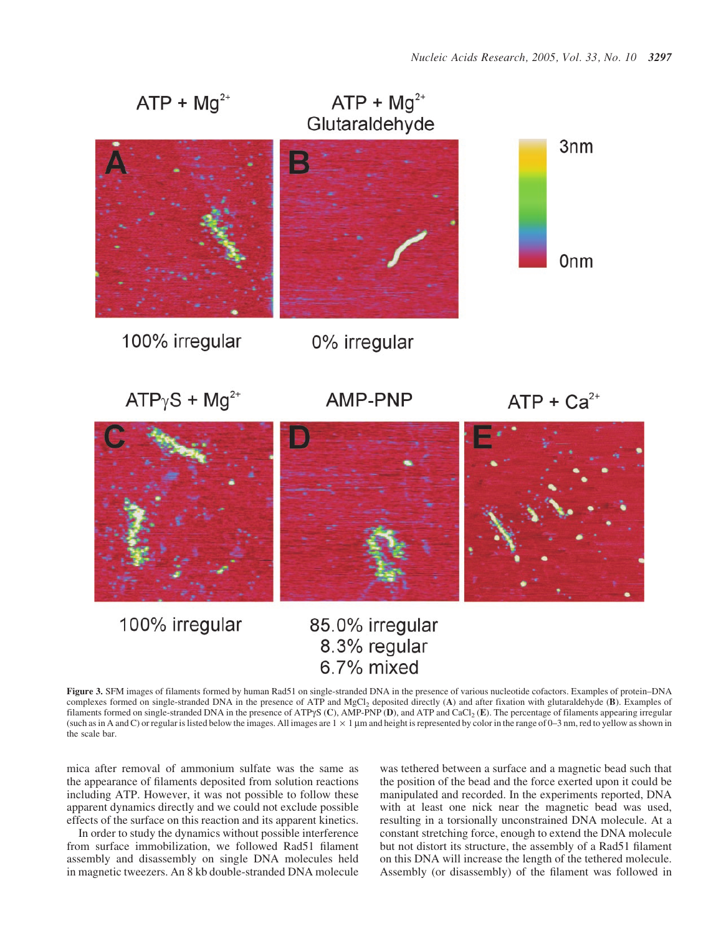

Figure 3. SFM images of filaments formed by human Rad51 on single-stranded DNA in the presence of various nucleotide cofactors. Examples of protein–DNA complexes formed on single-stranded DNA in the presence of ATP and MgCl2 deposited directly (A) and after fixation with glutaraldehyde (B). Examples of filaments formed on single-stranded DNA in the presence of ATP $\gamma$ S (C), AMP-PNP (D), and ATP and CaCl<sub>2</sub> (E). The percentage of filaments appearing irregular (such as in A and C) or regular is listed below the images. All images are  $1 \times 1$  µm and height is represented by color in the range of 0–3 nm, red to yellow as shown in the scale bar.

mica after removal of ammonium sulfate was the same as the appearance of filaments deposited from solution reactions including ATP. However, it was not possible to follow these apparent dynamics directly and we could not exclude possible effects of the surface on this reaction and its apparent kinetics.

In order to study the dynamics without possible interference from surface immobilization, we followed Rad51 filament assembly and disassembly on single DNA molecules held in magnetic tweezers. An 8 kb double-stranded DNA molecule

was tethered between a surface and a magnetic bead such that the position of the bead and the force exerted upon it could be manipulated and recorded. In the experiments reported, DNA with at least one nick near the magnetic bead was used, resulting in a torsionally unconstrained DNA molecule. At a constant stretching force, enough to extend the DNA molecule but not distort its structure, the assembly of a Rad51 filament on this DNA will increase the length of the tethered molecule. Assembly (or disassembly) of the filament was followed in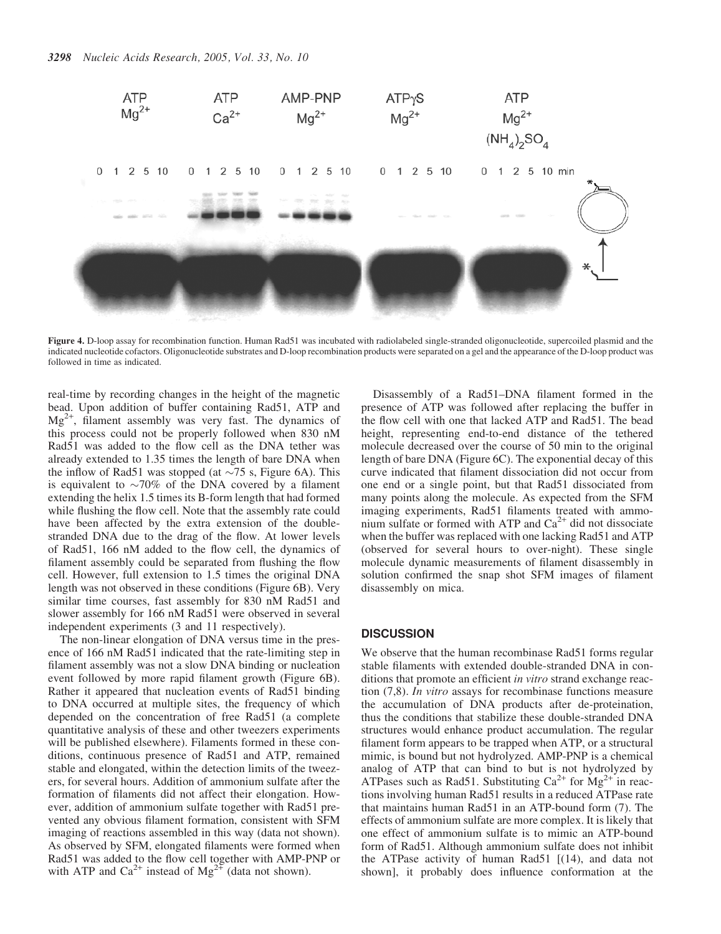

Figure 4. D-loop assay for recombination function. Human Rad51 was incubated with radiolabeled single-stranded oligonucleotide, supercoiled plasmid and the indicated nucleotide cofactors. Oligonucleotide substrates and D-loop recombination products were separated on a gel and the appearance of the D-loop product was followed in time as indicated.

real-time by recording changes in the height of the magnetic bead. Upon addition of buffer containing Rad51, ATP and  $Mg^{2+}$ , filament assembly was very fast. The dynamics of this process could not be properly followed when 830 nM Rad51 was added to the flow cell as the DNA tether was already extended to 1.35 times the length of bare DNA when the inflow of Rad51 was stopped (at  $\sim$ 75 s, Figure 6A). This is equivalent to  $\sim$ 70% of the DNA covered by a filament extending the helix 1.5 times its B-form length that had formed while flushing the flow cell. Note that the assembly rate could have been affected by the extra extension of the doublestranded DNA due to the drag of the flow. At lower levels of Rad51, 166 nM added to the flow cell, the dynamics of filament assembly could be separated from flushing the flow cell. However, full extension to 1.5 times the original DNA length was not observed in these conditions (Figure 6B). Very similar time courses, fast assembly for 830 nM Rad51 and slower assembly for 166 nM Rad51 were observed in several independent experiments (3 and 11 respectively).

The non-linear elongation of DNA versus time in the presence of 166 nM Rad51 indicated that the rate-limiting step in filament assembly was not a slow DNA binding or nucleation event followed by more rapid filament growth (Figure 6B). Rather it appeared that nucleation events of Rad51 binding to DNA occurred at multiple sites, the frequency of which depended on the concentration of free Rad51 (a complete quantitative analysis of these and other tweezers experiments will be published elsewhere). Filaments formed in these conditions, continuous presence of Rad51 and ATP, remained stable and elongated, within the detection limits of the tweezers, for several hours. Addition of ammonium sulfate after the formation of filaments did not affect their elongation. However, addition of ammonium sulfate together with Rad51 prevented any obvious filament formation, consistent with SFM imaging of reactions assembled in this way (data not shown). As observed by SFM, elongated filaments were formed when Rad51 was added to the flow cell together with AMP-PNP or with ATP and  $Ca^{2+}$  instead of Mg<sup>2+</sup> (data not shown).

Disassembly of a Rad51–DNA filament formed in the presence of ATP was followed after replacing the buffer in the flow cell with one that lacked ATP and Rad51. The bead height, representing end-to-end distance of the tethered molecule decreased over the course of 50 min to the original length of bare DNA (Figure 6C). The exponential decay of this curve indicated that filament dissociation did not occur from one end or a single point, but that Rad51 dissociated from many points along the molecule. As expected from the SFM imaging experiments, Rad51 filaments treated with ammonium sulfate or formed with ATP and  $Ca<sup>2+</sup>$  did not dissociate when the buffer was replaced with one lacking Rad51 and ATP (observed for several hours to over-night). These single molecule dynamic measurements of filament disassembly in solution confirmed the snap shot SFM images of filament disassembly on mica.

## **DISCUSSION**

We observe that the human recombinase Rad51 forms regular stable filaments with extended double-stranded DNA in conditions that promote an efficient *in vitro* strand exchange reaction (7,8). In vitro assays for recombinase functions measure the accumulation of DNA products after de-proteination, thus the conditions that stabilize these double-stranded DNA structures would enhance product accumulation. The regular filament form appears to be trapped when ATP, or a structural mimic, is bound but not hydrolyzed. AMP-PNP is a chemical analog of ATP that can bind to but is not hydrolyzed by ATPases such as Rad51. Substituting  $Ca^{2+}$  for  $Mg^{2+}$  in reactions involving human Rad51 results in a reduced ATPase rate that maintains human Rad51 in an ATP-bound form (7). The effects of ammonium sulfate are more complex. It is likely that one effect of ammonium sulfate is to mimic an ATP-bound form of Rad51. Although ammonium sulfate does not inhibit the ATPase activity of human Rad51 [(14), and data not shown], it probably does influence conformation at the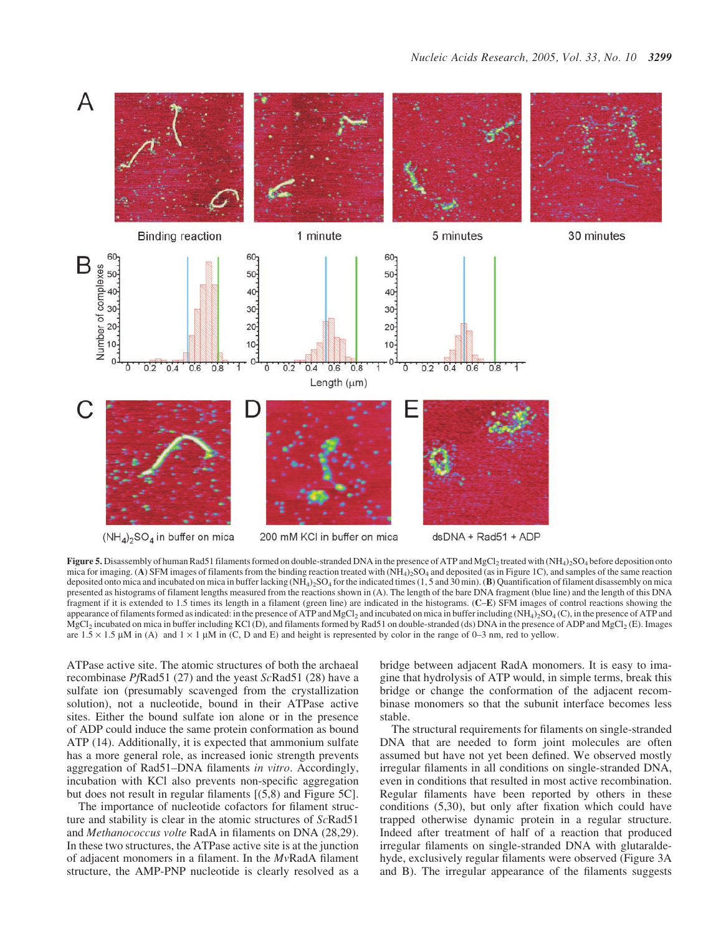

Figure 5. Disassembly of human Rad51 filaments formed on double-stranded DNA in the presence of ATP and MgCl<sub>2</sub> treated with (NH<sub>4</sub>)<sub>2</sub>SO<sub>4</sub> before deposition onto mica for imaging. (A) SFM images of filaments from the binding reaction treated with  $(NH<sub>4</sub>)<sub>2</sub>SO<sub>4</sub>$  and deposited (as in Figure 1C), and samples of the same reaction deposited onto mica and incubated on mica in buffer lacking  $(NH_4)$ ,  $SO_4$  for the indicated times  $(1, 5 \text{ and } 30 \text{ min})$ . (B) Quantification of filament disassembly on mica presented as histograms of filament lengths measured from the reactions shown in (A). The length of the bare DNA fragment (blue line) and the length of this DNA fragment if it is extended to 1.5 times its length in a filament (green line) are indicated in the histograms. (C–E) SFM images of control reactions showing the appearance of filaments formed as indicated: in the presence of ATP and MgCl<sub>2</sub> and incubated on mica in buffer including (NH<sub>4</sub>)<sub>2</sub>SO<sub>4</sub> (C), in the presence of ATP and  $MgCl<sub>2</sub>$  incubated on mica in buffer including KCl (D), and filaments formed by Rad51 on double-stranded (ds) DNA in the presence of ADP and MgCl<sub>2</sub> (E). Images are  $1.5 \times 1.5$  µM in (A) and  $1 \times 1$  µM in (C, D and E) and height is represented by color in the range of 0–3 nm, red to yellow.

ATPase active site. The atomic structures of both the archaeal recombinase PfRad51 (27) and the yeast ScRad51 (28) have a sulfate ion (presumably scavenged from the crystallization solution), not a nucleotide, bound in their ATPase active sites. Either the bound sulfate ion alone or in the presence of ADP could induce the same protein conformation as bound ATP (14). Additionally, it is expected that ammonium sulfate has a more general role, as increased ionic strength prevents aggregation of Rad51–DNA filaments in vitro. Accordingly, incubation with KCl also prevents non-specific aggregation but does not result in regular filaments [(5,8) and Figure 5C].

The importance of nucleotide cofactors for filament structure and stability is clear in the atomic structures of ScRad51 and Methanococcus volte RadA in filaments on DNA (28,29). In these two structures, the ATPase active site is at the junction of adjacent monomers in a filament. In the MvRadA filament structure, the AMP-PNP nucleotide is clearly resolved as a

bridge between adjacent RadA monomers. It is easy to imagine that hydrolysis of ATP would, in simple terms, break this bridge or change the conformation of the adjacent recombinase monomers so that the subunit interface becomes less stable.

The structural requirements for filaments on single-stranded DNA that are needed to form joint molecules are often assumed but have not yet been defined. We observed mostly irregular filaments in all conditions on single-stranded DNA, even in conditions that resulted in most active recombination. Regular filaments have been reported by others in these conditions (5,30), but only after fixation which could have trapped otherwise dynamic protein in a regular structure. Indeed after treatment of half of a reaction that produced irregular filaments on single-stranded DNA with glutaraldehyde, exclusively regular filaments were observed (Figure 3A and B). The irregular appearance of the filaments suggests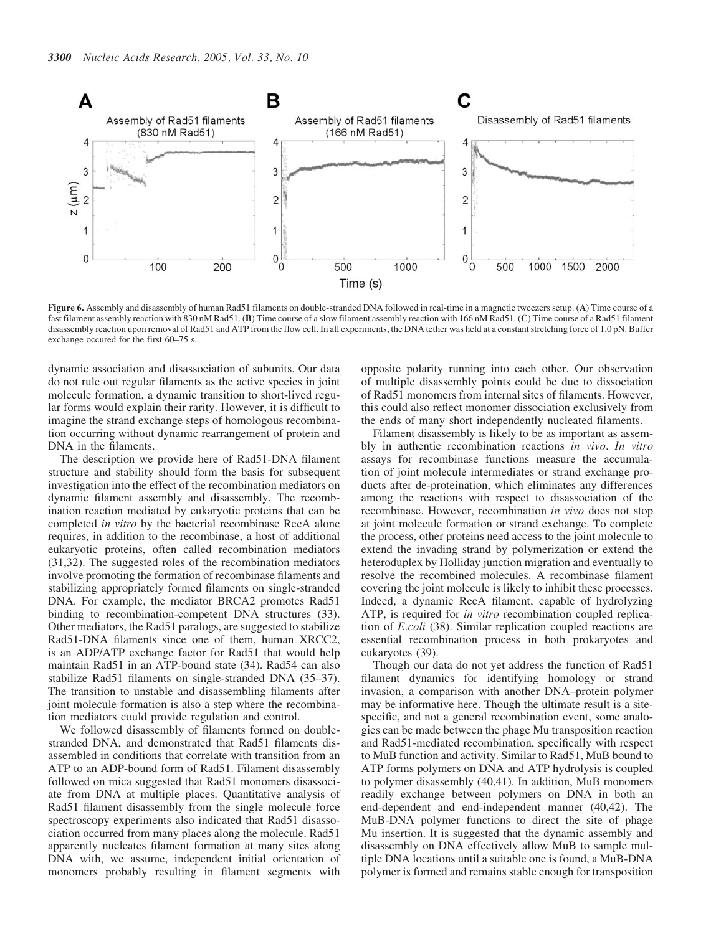

Figure 6. Assembly and disassembly of human Rad51 filaments on double-stranded DNA followed in real-time in a magnetic tweezers setup. (A) Time course of a fast filament assembly reaction with 830 nM Rad51. (B) Time course of a slow filament assembly reaction with 166 nM Rad51. (C) Time course of a Rad51 filament disassembly reaction upon removal of Rad51 and ATP from the flow cell. In all experiments, the DNA tether was held at a constant stretching force of 1.0 pN. Buffer exchange occured for the first 60–75 s.

dynamic association and disassociation of subunits. Our data do not rule out regular filaments as the active species in joint molecule formation, a dynamic transition to short-lived regular forms would explain their rarity. However, it is difficult to imagine the strand exchange steps of homologous recombination occurring without dynamic rearrangement of protein and DNA in the filaments.

The description we provide here of Rad51-DNA filament structure and stability should form the basis for subsequent investigation into the effect of the recombination mediators on dynamic filament assembly and disassembly. The recombination reaction mediated by eukaryotic proteins that can be completed in vitro by the bacterial recombinase RecA alone requires, in addition to the recombinase, a host of additional eukaryotic proteins, often called recombination mediators (31,32). The suggested roles of the recombination mediators involve promoting the formation of recombinase filaments and stabilizing appropriately formed filaments on single-stranded DNA. For example, the mediator BRCA2 promotes Rad51 binding to recombination-competent DNA structures (33). Other mediators, the Rad51 paralogs, are suggested to stabilize Rad51-DNA filaments since one of them, human XRCC2, is an ADP/ATP exchange factor for Rad51 that would help maintain Rad51 in an ATP-bound state (34). Rad54 can also stabilize Rad51 filaments on single-stranded DNA (35–37). The transition to unstable and disassembling filaments after joint molecule formation is also a step where the recombination mediators could provide regulation and control.

We followed disassembly of filaments formed on doublestranded DNA, and demonstrated that Rad51 filaments disassembled in conditions that correlate with transition from an ATP to an ADP-bound form of Rad51. Filament disassembly followed on mica suggested that Rad51 monomers disassociate from DNA at multiple places. Quantitative analysis of Rad51 filament disassembly from the single molecule force spectroscopy experiments also indicated that Rad51 disassociation occurred from many places along the molecule. Rad51 apparently nucleates filament formation at many sites along DNA with, we assume, independent initial orientation of monomers probably resulting in filament segments with opposite polarity running into each other. Our observation of multiple disassembly points could be due to dissociation of Rad51 monomers from internal sites of filaments. However, this could also reflect monomer dissociation exclusively from the ends of many short independently nucleated filaments.

Filament disassembly is likely to be as important as assembly in authentic recombination reactions in vivo. In vitro assays for recombinase functions measure the accumulation of joint molecule intermediates or strand exchange products after de-proteination, which eliminates any differences among the reactions with respect to disassociation of the recombinase. However, recombination in vivo does not stop at joint molecule formation or strand exchange. To complete the process, other proteins need access to the joint molecule to extend the invading strand by polymerization or extend the heteroduplex by Holliday junction migration and eventually to resolve the recombined molecules. A recombinase filament covering the joint molecule is likely to inhibit these processes. Indeed, a dynamic RecA filament, capable of hydrolyzing ATP, is required for in vitro recombination coupled replication of E.coli (38). Similar replication coupled reactions are essential recombination process in both prokaryotes and eukaryotes (39).

Though our data do not yet address the function of Rad51 filament dynamics for identifying homology or strand invasion, a comparison with another DNA–protein polymer may be informative here. Though the ultimate result is a sitespecific, and not a general recombination event, some analogies can be made between the phage Mu transposition reaction and Rad51-mediated recombination, specifically with respect to MuB function and activity. Similar to Rad51, MuB bound to ATP forms polymers on DNA and ATP hydrolysis is coupled to polymer disassembly (40,41). In addition, MuB monomers readily exchange between polymers on DNA in both an end-dependent and end-independent manner (40,42). The MuB-DNA polymer functions to direct the site of phage Mu insertion. It is suggested that the dynamic assembly and disassembly on DNA effectively allow MuB to sample multiple DNA locations until a suitable one is found, a MuB-DNA polymer is formed and remains stable enough for transposition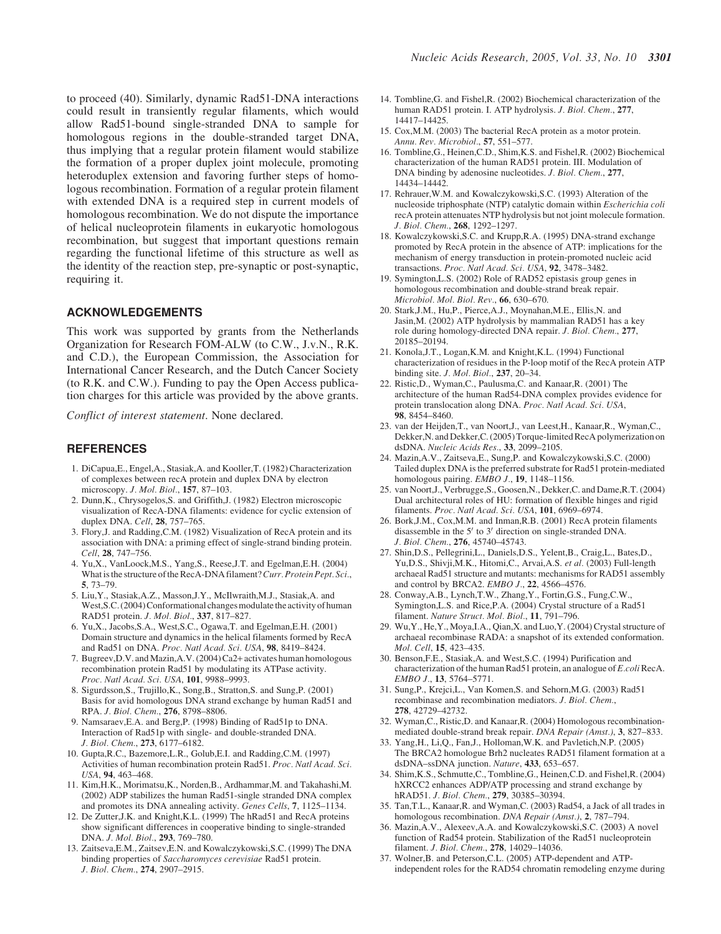to proceed (40). Similarly, dynamic Rad51-DNA interactions could result in transiently regular filaments, which would allow Rad51-bound single-stranded DNA to sample for homologous regions in the double-stranded target DNA, thus implying that a regular protein filament would stabilize the formation of a proper duplex joint molecule, promoting heteroduplex extension and favoring further steps of homologous recombination. Formation of a regular protein filament with extended DNA is a required step in current models of homologous recombination. We do not dispute the importance of helical nucleoprotein filaments in eukaryotic homologous recombination, but suggest that important questions remain regarding the functional lifetime of this structure as well as the identity of the reaction step, pre-synaptic or post-synaptic, requiring it.

# ACKNOWLEDGEMENTS

This work was supported by grants from the Netherlands Organization for Research FOM-ALW (to C.W., J.v.N., R.K. and C.D.), the European Commission, the Association for International Cancer Research, and the Dutch Cancer Society (to R.K. and C.W.). Funding to pay the Open Access publication charges for this article was provided by the above grants.

Conflict of interest statement. None declared.

## **REFERENCES**

- 1. DiCapua,E., Engel,A., Stasiak,A. and Kooller,T. (1982) Characterization of complexes between recA protein and duplex DNA by electron microscopy. J. Mol. Biol., 157, 87–103.
- 2. Dunn,K., Chrysogelos,S. and Griffith,J. (1982) Electron microscopic visualization of RecA-DNA filaments: evidence for cyclic extension of duplex DNA. Cell, 28, 757–765.
- 3. Flory,J. and Radding,C.M. (1982) Visualization of RecA protein and its association with DNA: a priming effect of single-strand binding protein. Cell, 28, 747–756.
- 4. Yu,X., VanLoock,M.S., Yang,S., Reese,J.T. and Egelman,E.H. (2004) What is the structure of the RecA-DNA filament? Curr. Protein Pept. Sci., 5, 73–79.
- 5. Liu,Y., Stasiak,A.Z., Masson,J.Y., McIlwraith,M.J., Stasiak,A. and West, S.C. (2004) Conformational changes modulate the activity of human RAD51 protein. J. Mol. Biol., 337, 817–827.
- 6. Yu,X., Jacobs,S.A., West,S.C., Ogawa,T. and Egelman,E.H. (2001) Domain structure and dynamics in the helical filaments formed by RecA and Rad51 on DNA. Proc. Natl Acad. Sci. USA, 98, 8419–8424.
- 7. Bugreev,D.V. and Mazin,A.V. (2004) Ca2+ activates human homologous recombination protein Rad51 by modulating its ATPase activity. Proc. Natl Acad. Sci. USA, 101, 9988–9993.
- 8. Sigurdsson,S., Trujillo,K., Song,B., Stratton,S. and Sung,P. (2001) Basis for avid homologous DNA strand exchange by human Rad51 and RPA. J. Biol. Chem., 276, 8798–8806.
- 9. Namsaraev,E.A. and Berg,P. (1998) Binding of Rad51p to DNA. Interaction of Rad51p with single- and double-stranded DNA. J. Biol. Chem., 273, 6177–6182.
- 10. Gupta,R.C., Bazemore,L.R., Golub,E.I. and Radding,C.M. (1997) Activities of human recombination protein Rad51. Proc. Natl Acad. Sci. USA, 94, 463–468.
- 11. Kim,H.K., Morimatsu,K., Norden,B., Ardhammar,M. and Takahashi,M. (2002) ADP stabilizes the human Rad51-single stranded DNA complex and promotes its DNA annealing activity. Genes Cells, 7, 1125–1134.
- 12. De Zutter,J.K. and Knight,K.L. (1999) The hRad51 and RecA proteins show significant differences in cooperative binding to single-stranded DNA. J. Mol. Biol., 293, 769–780.
- 13. Zaitseva,E.M., Zaitsev,E.N. and Kowalczykowski,S.C. (1999) The DNA binding properties of Saccharomyces cerevisiae Rad51 protein. J. Biol. Chem., 274, 2907–2915.
- 14. Tombline,G. and Fishel,R. (2002) Biochemical characterization of the human RAD51 protein. I. ATP hydrolysis. J. Biol. Chem., 277, 14417–14425.
- 15. Cox,M.M. (2003) The bacterial RecA protein as a motor protein. Annu. Rev. Microbiol., 57, 551–577.
- 16. Tombline,G., Heinen,C.D., Shim,K.S. and Fishel,R. (2002) Biochemical characterization of the human RAD51 protein. III. Modulation of DNA binding by adenosine nucleotides. J. Biol. Chem., 277, 14434–14442.
- 17. Rehrauer,W.M. and Kowalczykowski,S.C. (1993) Alteration of the nucleoside triphosphate (NTP) catalytic domain within Escherichia coli recA protein attenuates NTP hydrolysis but not joint molecule formation. J. Biol. Chem., 268, 1292–1297.
- 18. Kowalczykowski,S.C. and Krupp,R.A. (1995) DNA-strand exchange promoted by RecA protein in the absence of ATP: implications for the mechanism of energy transduction in protein-promoted nucleic acid transactions. Proc. Natl Acad. Sci. USA, 92, 3478–3482.
- 19. Symington,L.S. (2002) Role of RAD52 epistasis group genes in homologous recombination and double-strand break repair. Microbiol. Mol. Biol. Rev., 66, 630–670.
- 20. Stark,J.M., Hu,P., Pierce,A.J., Moynahan,M.E., Ellis,N. and Jasin,M. (2002) ATP hydrolysis by mammalian RAD51 has a key role during homology-directed DNA repair. J. Biol. Chem., 277, 20185–20194.
- 21. Konola,J.T., Logan,K.M. and Knight,K.L. (1994) Functional characterization of residues in the P-loop motif of the RecA protein ATP binding site. J. Mol. Biol., 237, 20–34.
- 22. Ristic,D., Wyman,C., Paulusma,C. and Kanaar,R. (2001) The architecture of the human Rad54-DNA complex provides evidence for protein translocation along DNA. Proc. Natl Acad. Sci. USA, 98, 8454–8460.
- 23. van der Heijden,T., van Noort,J., van Leest,H., Kanaar,R., Wyman,C., Dekker,N. and Dekker,C. (2005) Torque-limited RecA polymerization on dsDNA. Nucleic Acids Res., 33, 2099–2105.
- 24. Mazin,A.V., Zaitseva,E., Sung,P. and Kowalczykowski,S.C. (2000) Tailed duplex DNA is the preferred substrate for Rad51 protein-mediated homologous pairing. EMBO J., 19, 1148-1156.
- 25. van Noort,J., Verbrugge,S., Goosen,N., Dekker,C. and Dame,R.T. (2004) Dual architectural roles of HU: formation of flexible hinges and rigid filaments. Proc. Natl Acad. Sci. USA, 101, 6969–6974.
- 26. Bork,J.M., Cox,M.M. and Inman,R.B. (2001) RecA protein filaments disassemble in the  $5'$  to  $3'$  direction on single-stranded DNA. J. Biol. Chem., 276, 45740–45743.
- 27. Shin,D.S., Pellegrini,L., Daniels,D.S., Yelent,B., Craig,L., Bates,D., Yu, D.S., Shivji, M.K., Hitomi, C., Arvai, A.S. et al. (2003) Full-length archaeal Rad51 structure and mutants: mechanisms for RAD51 assembly and control by BRCA2. EMBO J., 22, 4566–4576.
- 28. Conway,A.B., Lynch,T.W., Zhang,Y., Fortin,G.S., Fung,C.W., Symington,L.S. and Rice,P.A. (2004) Crystal structure of a Rad51 filament. Nature Struct. Mol. Biol., 11, 791–796.
- 29. Wu,Y., He,Y., Moya,I.A., Qian,X. and Luo,Y. (2004) Crystal structure of archaeal recombinase RADA: a snapshot of its extended conformation. Mol. Cell, 15, 423–435.
- 30. Benson,F.E., Stasiak,A. and West,S.C. (1994) Purification and characterization of the human Rad51 protein, an analogue of E.coli RecA. EMBO J., 13, 5764–5771.
- 31. Sung,P., Krejci,L., Van Komen,S. and Sehorn,M.G. (2003) Rad51 recombinase and recombination mediators. J. Biol. Chem., 278, 42729–42732.
- 32. Wyman,C., Ristic,D. and Kanaar,R. (2004) Homologous recombinationmediated double-strand break repair. DNA Repair (Amst.), 3, 827–833.
- 33. Yang,H., Li,Q., Fan,J., Holloman,W.K. and Pavletich,N.P. (2005) The BRCA2 homologue Brh2 nucleates RAD51 filament formation at a dsDNA–ssDNA junction. Nature, 433, 653–657.
- 34. Shim,K.S., Schmutte,C., Tombline,G., Heinen,C.D. and Fishel,R. (2004) hXRCC2 enhances ADP/ATP processing and strand exchange by hRAD51. J. Biol. Chem., 279, 30385–30394.
- 35. Tan,T.L., Kanaar,R. and Wyman,C. (2003) Rad54, a Jack of all trades in homologous recombination. DNA Repair (Amst.), 2, 787–794.
- 36. Mazin,A.V., Alexeev,A.A. and Kowalczykowski,S.C. (2003) A novel function of Rad54 protein. Stabilization of the Rad51 nucleoprotein filament. J. Biol. Chem., 278, 14029–14036.
- 37. Wolner,B. and Peterson,C.L. (2005) ATP-dependent and ATPindependent roles for the RAD54 chromatin remodeling enzyme during